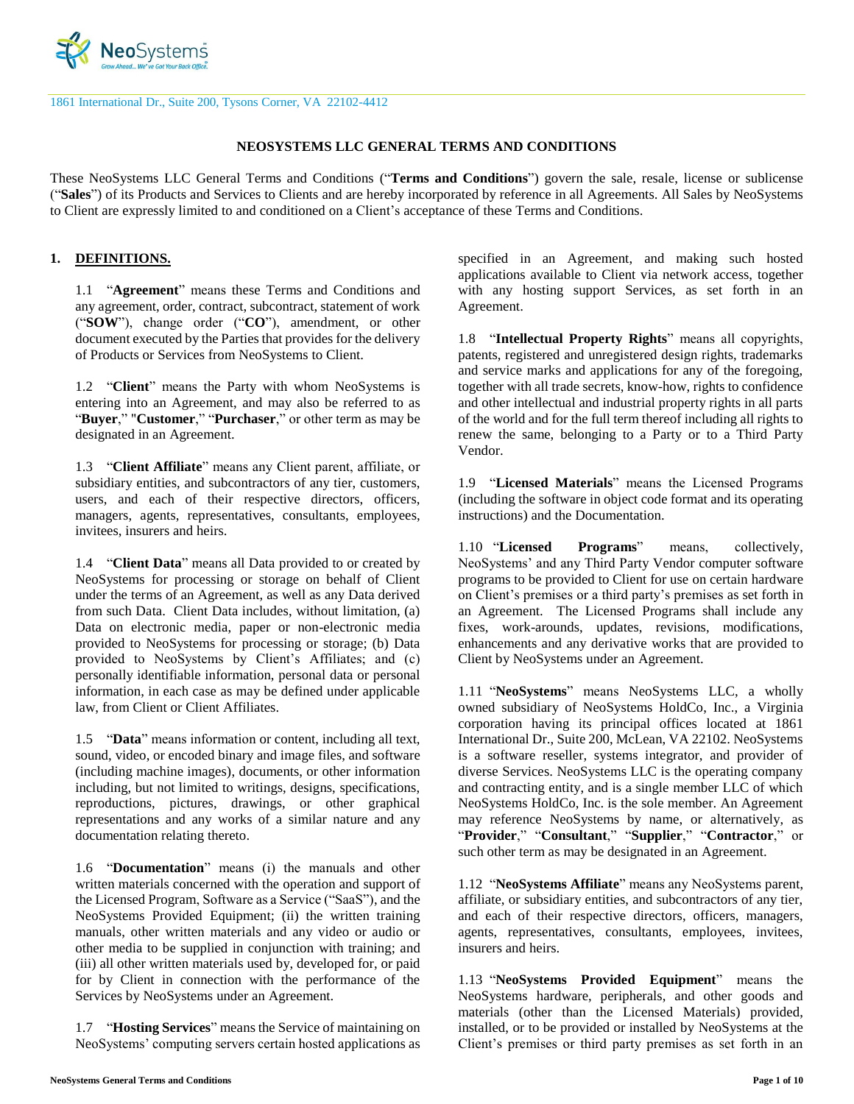

1861 International Dr., Suite 200, Tysons Corner, VA 22102-4412

#### **NEOSYSTEMS LLC GENERAL TERMS AND CONDITIONS**

These NeoSystems LLC General Terms and Conditions ("**Terms and Conditions**") govern the sale, resale, license or sublicense ("**Sales**") of its Products and Services to Clients and are hereby incorporated by reference in all Agreements. All Sales by NeoSystems to Client are expressly limited to and conditioned on a Client's acceptance of these Terms and Conditions.

#### **1. DEFINITIONS.**

1.1 "**Agreement**" means these Terms and Conditions and any agreement, order, contract, subcontract, statement of work ("**SOW**"), change order ("**CO**"), amendment, or other document executed by the Parties that provides for the delivery of Products or Services from NeoSystems to Client.

1.2 "**Client**" means the Party with whom NeoSystems is entering into an Agreement, and may also be referred to as "**Buyer**," "**Customer**," "**Purchaser**," or other term as may be designated in an Agreement.

1.3 "**Client Affiliate**" means any Client parent, affiliate, or subsidiary entities, and subcontractors of any tier, customers, users, and each of their respective directors, officers, managers, agents, representatives, consultants, employees, invitees, insurers and heirs.

1.4 "**Client Data**" means all Data provided to or created by NeoSystems for processing or storage on behalf of Client under the terms of an Agreement, as well as any Data derived from such Data. Client Data includes, without limitation, (a) Data on electronic media, paper or non-electronic media provided to NeoSystems for processing or storage; (b) Data provided to NeoSystems by Client's Affiliates; and (c) personally identifiable information, personal data or personal information, in each case as may be defined under applicable law, from Client or Client Affiliates.

1.5 "**Data**" means information or content, including all text, sound, video, or encoded binary and image files, and software (including machine images), documents, or other information including, but not limited to writings, designs, specifications, reproductions, pictures, drawings, or other graphical representations and any works of a similar nature and any documentation relating thereto.

1.6 "**Documentation**" means (i) the manuals and other written materials concerned with the operation and support of the Licensed Program, Software as a Service ("SaaS"), and the NeoSystems Provided Equipment; (ii) the written training manuals, other written materials and any video or audio or other media to be supplied in conjunction with training; and (iii) all other written materials used by, developed for, or paid for by Client in connection with the performance of the Services by NeoSystems under an Agreement.

1.7 "**Hosting Services**" means the Service of maintaining on NeoSystems' computing servers certain hosted applications as specified in an Agreement, and making such hosted applications available to Client via network access, together with any hosting support Services, as set forth in an Agreement.

1.8 "**Intellectual Property Rights**" means all copyrights, patents, registered and unregistered design rights, trademarks and service marks and applications for any of the foregoing, together with all trade secrets, know-how, rights to confidence and other intellectual and industrial property rights in all parts of the world and for the full term thereof including all rights to renew the same, belonging to a Party or to a Third Party Vendor.

1.9 "**Licensed Materials**" means the Licensed Programs (including the software in object code format and its operating instructions) and the Documentation.

1.10 "**Licensed Programs**" means, collectively, NeoSystems' and any Third Party Vendor computer software programs to be provided to Client for use on certain hardware on Client's premises or a third party's premises as set forth in an Agreement. The Licensed Programs shall include any fixes, work-arounds, updates, revisions, modifications, enhancements and any derivative works that are provided to Client by NeoSystems under an Agreement.

1.11 "**NeoSystems**" means NeoSystems LLC, a wholly owned subsidiary of NeoSystems HoldCo, Inc., a Virginia corporation having its principal offices located at 1861 International Dr., Suite 200, McLean, VA 22102. NeoSystems is a software reseller, systems integrator, and provider of diverse Services. NeoSystems LLC is the operating company and contracting entity, and is a single member LLC of which NeoSystems HoldCo, Inc. is the sole member. An Agreement may reference NeoSystems by name, or alternatively, as "**Provider**," "**Consultant**," "**Supplier**," "**Contractor**," or such other term as may be designated in an Agreement.

1.12 "**NeoSystems Affiliate**" means any NeoSystems parent, affiliate, or subsidiary entities, and subcontractors of any tier, and each of their respective directors, officers, managers, agents, representatives, consultants, employees, invitees, insurers and heirs.

1.13 "**NeoSystems Provided Equipment**" means the NeoSystems hardware, peripherals, and other goods and materials (other than the Licensed Materials) provided, installed, or to be provided or installed by NeoSystems at the Client's premises or third party premises as set forth in an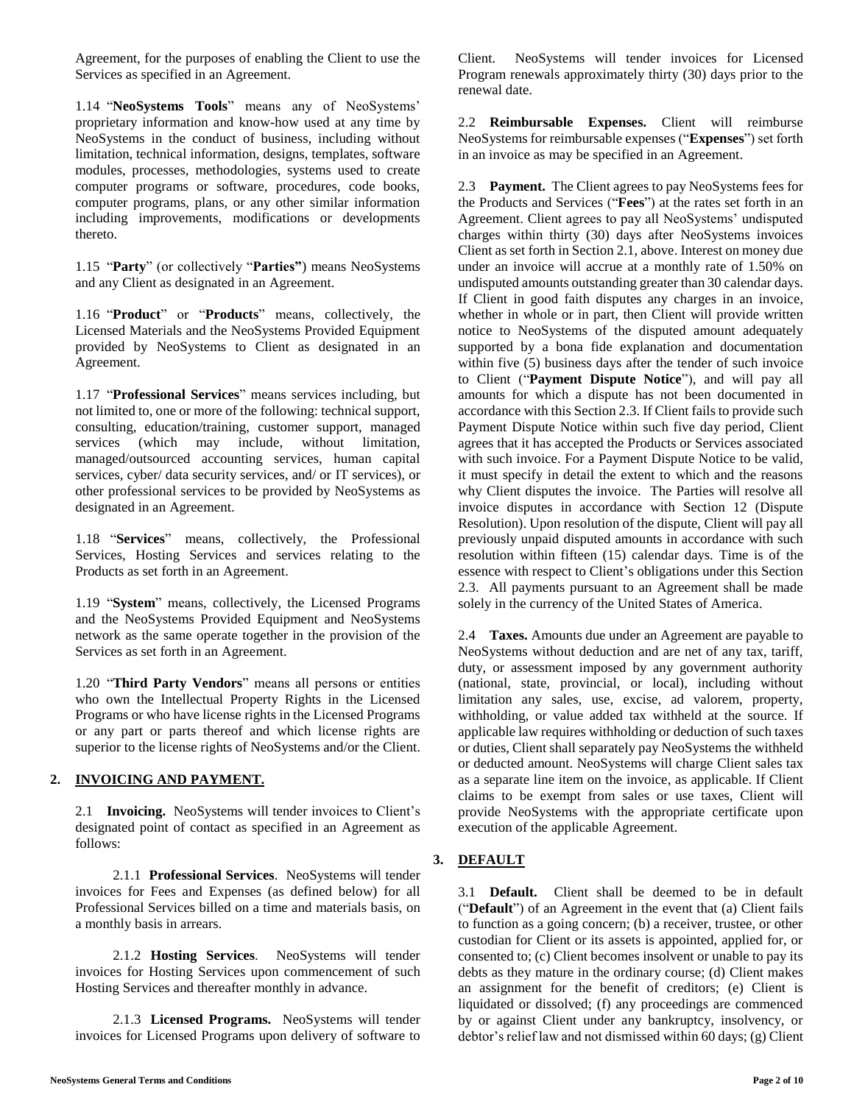Agreement, for the purposes of enabling the Client to use the Services as specified in an Agreement.

1.14 "**NeoSystems Tools**" means any of NeoSystems' proprietary information and know-how used at any time by NeoSystems in the conduct of business, including without limitation, technical information, designs, templates, software modules, processes, methodologies, systems used to create computer programs or software, procedures, code books, computer programs, plans, or any other similar information including improvements, modifications or developments thereto.

1.15 "**Party**" (or collectively "**Parties"**) means NeoSystems and any Client as designated in an Agreement.

1.16 "**Product**" or "**Products**" means, collectively, the Licensed Materials and the NeoSystems Provided Equipment provided by NeoSystems to Client as designated in an Agreement.

1.17 "**Professional Services**" means services including, but not limited to, one or more of the following: technical support, consulting, education/training, customer support, managed services (which may include, without limitation, managed/outsourced accounting services, human capital services, cyber/ data security services, and/ or IT services), or other professional services to be provided by NeoSystems as designated in an Agreement.

1.18 "**Services**" means, collectively, the Professional Services, Hosting Services and services relating to the Products as set forth in an Agreement.

1.19 "**System**" means, collectively, the Licensed Programs and the NeoSystems Provided Equipment and NeoSystems network as the same operate together in the provision of the Services as set forth in an Agreement.

1.20 "**Third Party Vendors**" means all persons or entities who own the Intellectual Property Rights in the Licensed Programs or who have license rights in the Licensed Programs or any part or parts thereof and which license rights are superior to the license rights of NeoSystems and/or the Client.

## **2. INVOICING AND PAYMENT.**

2.1 **Invoicing.** NeoSystems will tender invoices to Client's designated point of contact as specified in an Agreement as follows:

2.1.1 **Professional Services**. NeoSystems will tender invoices for Fees and Expenses (as defined below) for all Professional Services billed on a time and materials basis, on a monthly basis in arrears.

2.1.2 **Hosting Services**. NeoSystems will tender invoices for Hosting Services upon commencement of such Hosting Services and thereafter monthly in advance.

2.1.3 **Licensed Programs.** NeoSystems will tender invoices for Licensed Programs upon delivery of software to

Client. NeoSystems will tender invoices for Licensed Program renewals approximately thirty (30) days prior to the renewal date.

2.2 **Reimbursable Expenses.** Client will reimburse NeoSystems for reimbursable expenses ("**Expenses**") set forth in an invoice as may be specified in an Agreement.

2.3 **Payment.** The Client agrees to pay NeoSystems fees for the Products and Services ("**Fees**") at the rates set forth in an Agreement. Client agrees to pay all NeoSystems' undisputed charges within thirty (30) days after NeoSystems invoices Client as set forth in Section 2.1, above. Interest on money due under an invoice will accrue at a monthly rate of 1.50% on undisputed amounts outstanding greater than 30 calendar days. If Client in good faith disputes any charges in an invoice, whether in whole or in part, then Client will provide written notice to NeoSystems of the disputed amount adequately supported by a bona fide explanation and documentation within five (5) business days after the tender of such invoice to Client ("**Payment Dispute Notice**"), and will pay all amounts for which a dispute has not been documented in accordance with this Section 2.3. If Client fails to provide such Payment Dispute Notice within such five day period, Client agrees that it has accepted the Products or Services associated with such invoice. For a Payment Dispute Notice to be valid, it must specify in detail the extent to which and the reasons why Client disputes the invoice. The Parties will resolve all invoice disputes in accordance with Section 12 (Dispute Resolution). Upon resolution of the dispute, Client will pay all previously unpaid disputed amounts in accordance with such resolution within fifteen (15) calendar days. Time is of the essence with respect to Client's obligations under this Section 2.3. All payments pursuant to an Agreement shall be made solely in the currency of the United States of America.

2.4 **Taxes.** Amounts due under an Agreement are payable to NeoSystems without deduction and are net of any tax, tariff, duty, or assessment imposed by any government authority (national, state, provincial, or local), including without limitation any sales, use, excise, ad valorem, property, withholding, or value added tax withheld at the source. If applicable law requires withholding or deduction of such taxes or duties, Client shall separately pay NeoSystems the withheld or deducted amount. NeoSystems will charge Client sales tax as a separate line item on the invoice, as applicable. If Client claims to be exempt from sales or use taxes, Client will provide NeoSystems with the appropriate certificate upon execution of the applicable Agreement.

# **3. DEFAULT**

3.1 **Default.** Client shall be deemed to be in default ("**Default**") of an Agreement in the event that (a) Client fails to function as a going concern; (b) a receiver, trustee, or other custodian for Client or its assets is appointed, applied for, or consented to; (c) Client becomes insolvent or unable to pay its debts as they mature in the ordinary course; (d) Client makes an assignment for the benefit of creditors; (e) Client is liquidated or dissolved; (f) any proceedings are commenced by or against Client under any bankruptcy, insolvency, or debtor's relief law and not dismissed within 60 days; (g) Client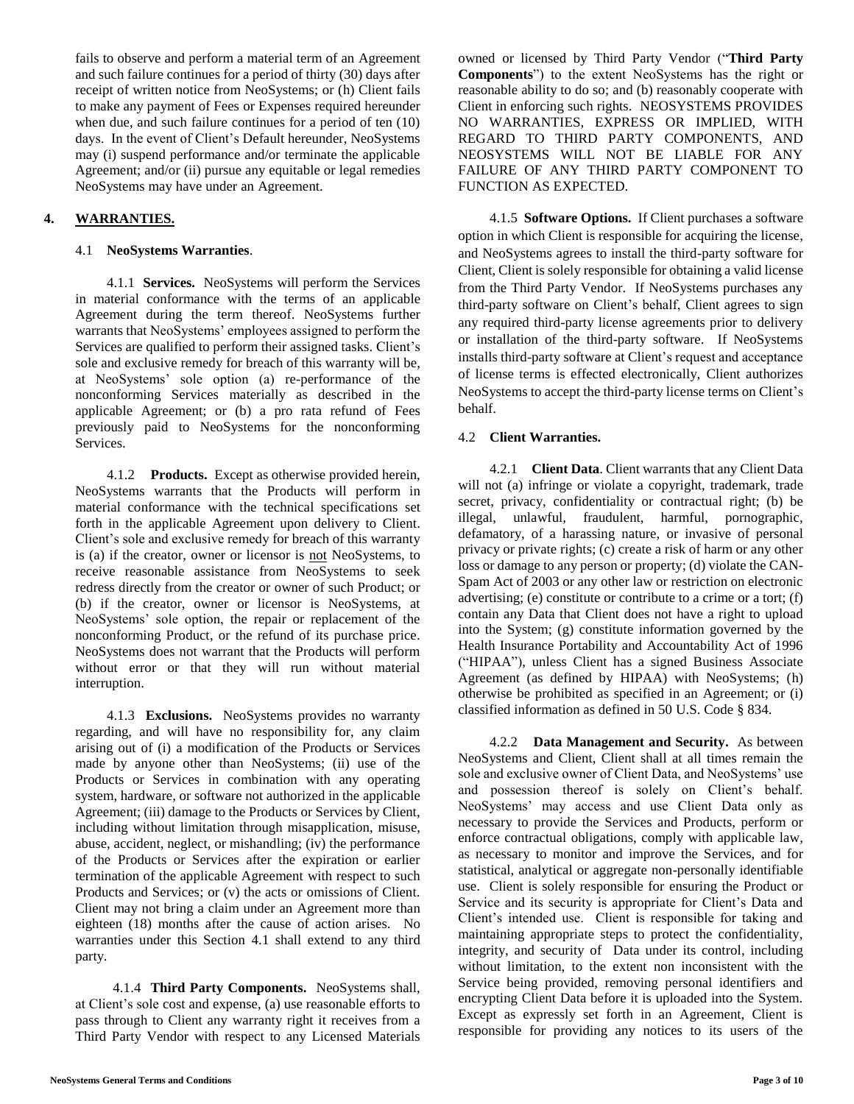fails to observe and perform a material term of an Agreement and such failure continues for a period of thirty (30) days after receipt of written notice from NeoSystems; or (h) Client fails to make any payment of Fees or Expenses required hereunder when due, and such failure continues for a period of ten (10) days. In the event of Client's Default hereunder, NeoSystems may (i) suspend performance and/or terminate the applicable Agreement; and/or (ii) pursue any equitable or legal remedies NeoSystems may have under an Agreement.

# **4. WARRANTIES.**

#### 4.1 **NeoSystems Warranties**.

4.1.1 **Services.** NeoSystems will perform the Services in material conformance with the terms of an applicable Agreement during the term thereof. NeoSystems further warrants that NeoSystems' employees assigned to perform the Services are qualified to perform their assigned tasks. Client's sole and exclusive remedy for breach of this warranty will be, at NeoSystems' sole option (a) re-performance of the nonconforming Services materially as described in the applicable Agreement; or (b) a pro rata refund of Fees previously paid to NeoSystems for the nonconforming Services.

4.1.2 **Products.** Except as otherwise provided herein, NeoSystems warrants that the Products will perform in material conformance with the technical specifications set forth in the applicable Agreement upon delivery to Client. Client's sole and exclusive remedy for breach of this warranty is (a) if the creator, owner or licensor is not NeoSystems, to receive reasonable assistance from NeoSystems to seek redress directly from the creator or owner of such Product; or (b) if the creator, owner or licensor is NeoSystems, at NeoSystems' sole option, the repair or replacement of the nonconforming Product, or the refund of its purchase price. NeoSystems does not warrant that the Products will perform without error or that they will run without material interruption.

4.1.3 **Exclusions.** NeoSystems provides no warranty regarding, and will have no responsibility for, any claim arising out of (i) a modification of the Products or Services made by anyone other than NeoSystems; (ii) use of the Products or Services in combination with any operating system, hardware, or software not authorized in the applicable Agreement; (iii) damage to the Products or Services by Client, including without limitation through misapplication, misuse, abuse, accident, neglect, or mishandling; (iv) the performance of the Products or Services after the expiration or earlier termination of the applicable Agreement with respect to such Products and Services; or (v) the acts or omissions of Client. Client may not bring a claim under an Agreement more than eighteen (18) months after the cause of action arises. No warranties under this Section 4.1 shall extend to any third party.

4.1.4 **Third Party Components.** NeoSystems shall, at Client's sole cost and expense, (a) use reasonable efforts to pass through to Client any warranty right it receives from a Third Party Vendor with respect to any Licensed Materials owned or licensed by Third Party Vendor ("**Third Party Components**") to the extent NeoSystems has the right or reasonable ability to do so; and (b) reasonably cooperate with Client in enforcing such rights. NEOSYSTEMS PROVIDES NO WARRANTIES, EXPRESS OR IMPLIED, WITH REGARD TO THIRD PARTY COMPONENTS, AND NEOSYSTEMS WILL NOT BE LIABLE FOR ANY FAILURE OF ANY THIRD PARTY COMPONENT TO FUNCTION AS EXPECTED.

4.1.5 **Software Options.** If Client purchases a software option in which Client is responsible for acquiring the license, and NeoSystems agrees to install the third-party software for Client, Client is solely responsible for obtaining a valid license from the Third Party Vendor. If NeoSystems purchases any third-party software on Client's behalf, Client agrees to sign any required third-party license agreements prior to delivery or installation of the third-party software. If NeoSystems installs third-party software at Client's request and acceptance of license terms is effected electronically, Client authorizes NeoSystems to accept the third-party license terms on Client's behalf.

## 4.2 **Client Warranties.**

4.2.1 **Client Data**. Client warrants that any Client Data will not (a) infringe or violate a copyright, trademark, trade secret, privacy, confidentiality or contractual right; (b) be illegal, unlawful, fraudulent, harmful, pornographic, defamatory, of a harassing nature, or invasive of personal privacy or private rights; (c) create a risk of harm or any other loss or damage to any person or property; (d) violate the CAN-Spam Act of 2003 or any other law or restriction on electronic advertising; (e) constitute or contribute to a crime or a tort; (f) contain any Data that Client does not have a right to upload into the System; (g) constitute information governed by the Health Insurance Portability and Accountability Act of 1996 ("HIPAA"), unless Client has a signed Business Associate Agreement (as defined by HIPAA) with NeoSystems; (h) otherwise be prohibited as specified in an Agreement; or (i) classified information as defined in 50 U.S. Code § 834.

4.2.2 **Data Management and Security.** As between NeoSystems and Client, Client shall at all times remain the sole and exclusive owner of Client Data, and NeoSystems' use and possession thereof is solely on Client's behalf. NeoSystems' may access and use Client Data only as necessary to provide the Services and Products, perform or enforce contractual obligations, comply with applicable law, as necessary to monitor and improve the Services, and for statistical, analytical or aggregate non-personally identifiable use. Client is solely responsible for ensuring the Product or Service and its security is appropriate for Client's Data and Client's intended use. Client is responsible for taking and maintaining appropriate steps to protect the confidentiality, integrity, and security of Data under its control, including without limitation, to the extent non inconsistent with the Service being provided, removing personal identifiers and encrypting Client Data before it is uploaded into the System. Except as expressly set forth in an Agreement, Client is responsible for providing any notices to its users of the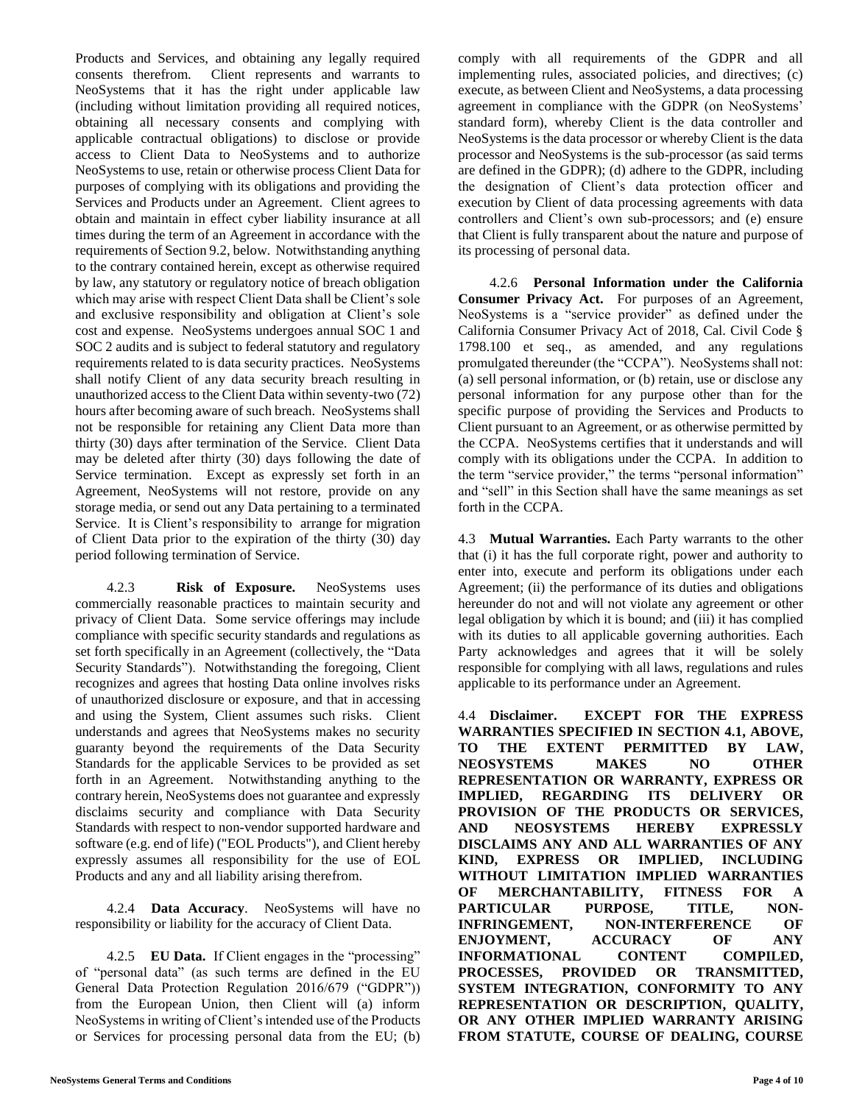Products and Services, and obtaining any legally required consents therefrom. Client represents and warrants to NeoSystems that it has the right under applicable law (including without limitation providing all required notices, obtaining all necessary consents and complying with applicable contractual obligations) to disclose or provide access to Client Data to NeoSystems and to authorize NeoSystems to use, retain or otherwise process Client Data for purposes of complying with its obligations and providing the Services and Products under an Agreement. Client agrees to obtain and maintain in effect cyber liability insurance at all times during the term of an Agreement in accordance with the requirements of Section 9.2, below. Notwithstanding anything to the contrary contained herein, except as otherwise required by law, any statutory or regulatory notice of breach obligation which may arise with respect Client Data shall be Client's sole and exclusive responsibility and obligation at Client's sole cost and expense. NeoSystems undergoes annual SOC 1 and SOC 2 audits and is subject to federal statutory and regulatory requirements related to is data security practices. NeoSystems shall notify Client of any data security breach resulting in unauthorized access to the Client Data within seventy-two (72) hours after becoming aware of such breach. NeoSystems shall not be responsible for retaining any Client Data more than thirty (30) days after termination of the Service. Client Data may be deleted after thirty (30) days following the date of Service termination. Except as expressly set forth in an Agreement, NeoSystems will not restore, provide on any storage media, or send out any Data pertaining to a terminated Service. It is Client's responsibility to arrange for migration of Client Data prior to the expiration of the thirty (30) day period following termination of Service.

4.2.3 **Risk of Exposure.** NeoSystems uses commercially reasonable practices to maintain security and privacy of Client Data. Some service offerings may include compliance with specific security standards and regulations as set forth specifically in an Agreement (collectively, the "Data Security Standards"). Notwithstanding the foregoing, Client recognizes and agrees that hosting Data online involves risks of unauthorized disclosure or exposure, and that in accessing and using the System, Client assumes such risks. Client understands and agrees that NeoSystems makes no security guaranty beyond the requirements of the Data Security Standards for the applicable Services to be provided as set forth in an Agreement. Notwithstanding anything to the contrary herein, NeoSystems does not guarantee and expressly disclaims security and compliance with Data Security Standards with respect to non-vendor supported hardware and software (e.g. end of life) ("EOL Products"), and Client hereby expressly assumes all responsibility for the use of EOL Products and any and all liability arising therefrom.

4.2.4 **Data Accuracy**. NeoSystems will have no responsibility or liability for the accuracy of Client Data.

4.2.5 **EU Data.** If Client engages in the "processing" of "personal data" (as such terms are defined in the EU General Data Protection Regulation 2016/679 ("GDPR")) from the European Union, then Client will (a) inform NeoSystems in writing of Client's intended use of the Products or Services for processing personal data from the EU; (b) comply with all requirements of the GDPR and all implementing rules, associated policies, and directives; (c) execute, as between Client and NeoSystems, a data processing agreement in compliance with the GDPR (on NeoSystems' standard form), whereby Client is the data controller and NeoSystems is the data processor or whereby Client is the data processor and NeoSystems is the sub-processor (as said terms are defined in the GDPR); (d) adhere to the GDPR, including the designation of Client's data protection officer and execution by Client of data processing agreements with data controllers and Client's own sub-processors; and (e) ensure that Client is fully transparent about the nature and purpose of its processing of personal data.

4.2.6 **Personal Information under the California Consumer Privacy Act.** For purposes of an Agreement, NeoSystems is a "service provider" as defined under the California Consumer Privacy Act of 2018, Cal. Civil Code § 1798.100 et seq., as amended, and any regulations promulgated thereunder (the "CCPA"). NeoSystems shall not: (a) sell personal information, or (b) retain, use or disclose any personal information for any purpose other than for the specific purpose of providing the Services and Products to Client pursuant to an Agreement, or as otherwise permitted by the CCPA. NeoSystems certifies that it understands and will comply with its obligations under the CCPA. In addition to the term "service provider," the terms "personal information" and "sell" in this Section shall have the same meanings as set forth in the CCPA.

4.3 **Mutual Warranties.** Each Party warrants to the other that (i) it has the full corporate right, power and authority to enter into, execute and perform its obligations under each Agreement; (ii) the performance of its duties and obligations hereunder do not and will not violate any agreement or other legal obligation by which it is bound; and (iii) it has complied with its duties to all applicable governing authorities. Each Party acknowledges and agrees that it will be solely responsible for complying with all laws, regulations and rules applicable to its performance under an Agreement.

4.4 **Disclaimer. EXCEPT FOR THE EXPRESS WARRANTIES SPECIFIED IN SECTION 4.1, ABOVE, TO THE EXTENT PERMITTED BY LAW, NEOSYSTEMS MAKES NO OTHER REPRESENTATION OR WARRANTY, EXPRESS OR IMPLIED, REGARDING ITS DELIVERY OR PROVISION OF THE PRODUCTS OR SERVICES, AND NEOSYSTEMS HEREBY EXPRESSLY DISCLAIMS ANY AND ALL WARRANTIES OF ANY KIND, EXPRESS OR IMPLIED, INCLUDING WITHOUT LIMITATION IMPLIED WARRANTIES OF MERCHANTABILITY, FITNESS FOR A PARTICULAR PURPOSE, TITLE, NON-INFRINGEMENT, NON-INTERFERENCE OF ENJOYMENT, ACCURACY OF ANY INFORMATIONAL CONTENT COMPILED, PROCESSES, PROVIDED OR TRANSMITTED, SYSTEM INTEGRATION, CONFORMITY TO ANY REPRESENTATION OR DESCRIPTION, QUALITY, OR ANY OTHER IMPLIED WARRANTY ARISING FROM STATUTE, COURSE OF DEALING, COURSE**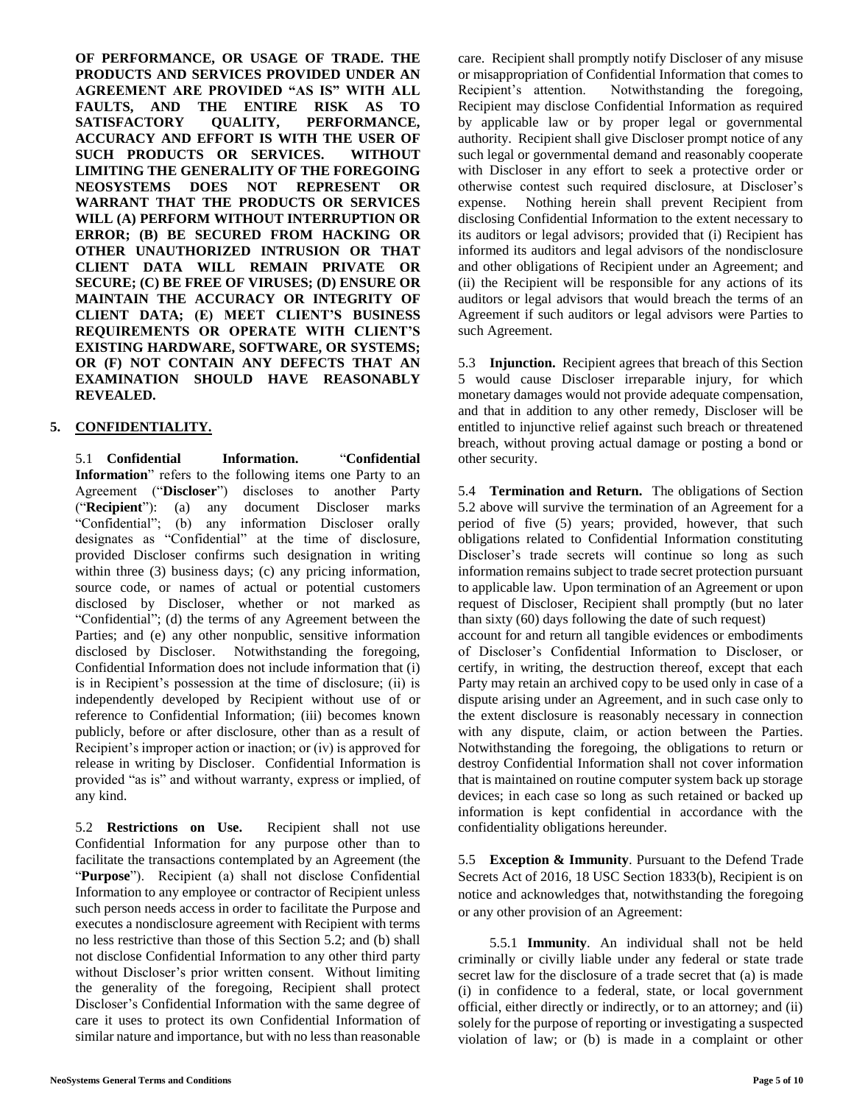**OF PERFORMANCE, OR USAGE OF TRADE. THE PRODUCTS AND SERVICES PROVIDED UNDER AN AGREEMENT ARE PROVIDED "AS IS" WITH ALL FAULTS, AND THE ENTIRE RISK AS TO SATISFACTORY QUALITY, PERFORMANCE, ACCURACY AND EFFORT IS WITH THE USER OF SUCH PRODUCTS OR SERVICES. WITHOUT LIMITING THE GENERALITY OF THE FOREGOING NEOSYSTEMS DOES NOT REPRESENT OR WARRANT THAT THE PRODUCTS OR SERVICES WILL (A) PERFORM WITHOUT INTERRUPTION OR ERROR; (B) BE SECURED FROM HACKING OR OTHER UNAUTHORIZED INTRUSION OR THAT CLIENT DATA WILL REMAIN PRIVATE OR SECURE; (C) BE FREE OF VIRUSES; (D) ENSURE OR MAINTAIN THE ACCURACY OR INTEGRITY OF CLIENT DATA; (E) MEET CLIENT'S BUSINESS REQUIREMENTS OR OPERATE WITH CLIENT'S EXISTING HARDWARE, SOFTWARE, OR SYSTEMS; OR (F) NOT CONTAIN ANY DEFECTS THAT AN EXAMINATION SHOULD HAVE REASONABLY REVEALED.** 

## **5. CONFIDENTIALITY.**

5.1 **Confidential Information.** "**Confidential Information**" refers to the following items one Party to an Agreement ("**Discloser**") discloses to another Party ("**Recipient**"): (a) any document Discloser marks "Confidential"; (b) any information Discloser orally designates as "Confidential" at the time of disclosure, provided Discloser confirms such designation in writing within three (3) business days; (c) any pricing information, source code, or names of actual or potential customers disclosed by Discloser, whether or not marked as "Confidential"; (d) the terms of any Agreement between the Parties; and (e) any other nonpublic, sensitive information disclosed by Discloser. Notwithstanding the foregoing, Confidential Information does not include information that (i) is in Recipient's possession at the time of disclosure; (ii) is independently developed by Recipient without use of or reference to Confidential Information; (iii) becomes known publicly, before or after disclosure, other than as a result of Recipient's improper action or inaction; or (iv) is approved for release in writing by Discloser. Confidential Information is provided "as is" and without warranty, express or implied, of any kind.

5.2 **Restrictions on Use.** Recipient shall not use Confidential Information for any purpose other than to facilitate the transactions contemplated by an Agreement (the "**Purpose**"). Recipient (a) shall not disclose Confidential Information to any employee or contractor of Recipient unless such person needs access in order to facilitate the Purpose and executes a nondisclosure agreement with Recipient with terms no less restrictive than those of this Section 5.2; and (b) shall not disclose Confidential Information to any other third party without Discloser's prior written consent. Without limiting the generality of the foregoing, Recipient shall protect Discloser's Confidential Information with the same degree of care it uses to protect its own Confidential Information of similar nature and importance, but with no less than reasonable

care. Recipient shall promptly notify Discloser of any misuse or misappropriation of Confidential Information that comes to Recipient's attention. Notwithstanding the foregoing, Recipient may disclose Confidential Information as required by applicable law or by proper legal or governmental authority. Recipient shall give Discloser prompt notice of any such legal or governmental demand and reasonably cooperate with Discloser in any effort to seek a protective order or otherwise contest such required disclosure, at Discloser's expense. Nothing herein shall prevent Recipient from disclosing Confidential Information to the extent necessary to its auditors or legal advisors; provided that (i) Recipient has informed its auditors and legal advisors of the nondisclosure and other obligations of Recipient under an Agreement; and (ii) the Recipient will be responsible for any actions of its auditors or legal advisors that would breach the terms of an Agreement if such auditors or legal advisors were Parties to such Agreement.

5.3 **Injunction.** Recipient agrees that breach of this Section 5 would cause Discloser irreparable injury, for which monetary damages would not provide adequate compensation, and that in addition to any other remedy, Discloser will be entitled to injunctive relief against such breach or threatened breach, without proving actual damage or posting a bond or other security.

5.4 **Termination and Return.** The obligations of Section 5.2 above will survive the termination of an Agreement for a period of five (5) years; provided, however, that such obligations related to Confidential Information constituting Discloser's trade secrets will continue so long as such information remains subject to trade secret protection pursuant to applicable law. Upon termination of an Agreement or upon request of Discloser, Recipient shall promptly (but no later than sixty (60) days following the date of such request) account for and return all tangible evidences or embodiments of Discloser's Confidential Information to Discloser, or

certify, in writing, the destruction thereof, except that each Party may retain an archived copy to be used only in case of a dispute arising under an Agreement, and in such case only to the extent disclosure is reasonably necessary in connection with any dispute, claim, or action between the Parties. Notwithstanding the foregoing, the obligations to return or destroy Confidential Information shall not cover information that is maintained on routine computer system back up storage devices; in each case so long as such retained or backed up information is kept confidential in accordance with the confidentiality obligations hereunder.

5.5 **Exception & Immunity**. Pursuant to the Defend Trade Secrets Act of 2016, 18 USC Section 1833(b), Recipient is on notice and acknowledges that, notwithstanding the foregoing or any other provision of an Agreement:

5.5.1 **Immunity**. An individual shall not be held criminally or civilly liable under any federal or state trade secret law for the disclosure of a trade secret that (a) is made (i) in confidence to a federal, state, or local government official, either directly or indirectly, or to an attorney; and (ii) solely for the purpose of reporting or investigating a suspected violation of law; or (b) is made in a complaint or other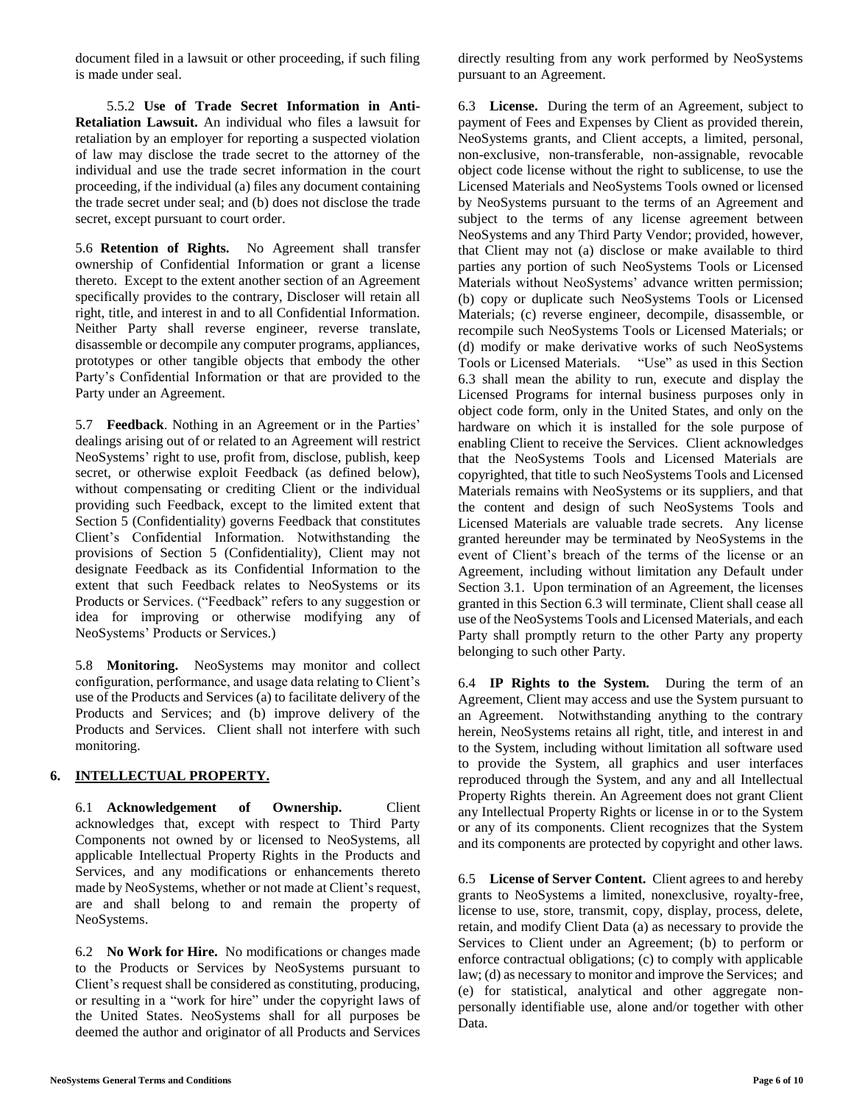document filed in a lawsuit or other proceeding, if such filing is made under seal.

5.5.2 **Use of Trade Secret Information in Anti-Retaliation Lawsuit.** An individual who files a lawsuit for retaliation by an employer for reporting a suspected violation of law may disclose the trade secret to the attorney of the individual and use the trade secret information in the court proceeding, if the individual (a) files any document containing the trade secret under seal; and (b) does not disclose the trade secret, except pursuant to court order.

5.6 **Retention of Rights.** No Agreement shall transfer ownership of Confidential Information or grant a license thereto. Except to the extent another section of an Agreement specifically provides to the contrary, Discloser will retain all right, title, and interest in and to all Confidential Information. Neither Party shall reverse engineer, reverse translate, disassemble or decompile any computer programs, appliances, prototypes or other tangible objects that embody the other Party's Confidential Information or that are provided to the Party under an Agreement.

5.7 **Feedback**. Nothing in an Agreement or in the Parties' dealings arising out of or related to an Agreement will restrict NeoSystems' right to use, profit from, disclose, publish, keep secret, or otherwise exploit Feedback (as defined below), without compensating or crediting Client or the individual providing such Feedback, except to the limited extent that Section 5 (Confidentiality) governs Feedback that constitutes Client's Confidential Information. Notwithstanding the provisions of Section 5 (Confidentiality), Client may not designate Feedback as its Confidential Information to the extent that such Feedback relates to NeoSystems or its Products or Services. ("Feedback" refers to any suggestion or idea for improving or otherwise modifying any of NeoSystems' Products or Services.)

5.8 **Monitoring.** NeoSystems may monitor and collect configuration, performance, and usage data relating to Client's use of the Products and Services (a) to facilitate delivery of the Products and Services; and (b) improve delivery of the Products and Services. Client shall not interfere with such monitoring.

# **6. INTELLECTUAL PROPERTY.**

6.1 **Acknowledgement of Ownership.** Client acknowledges that, except with respect to Third Party Components not owned by or licensed to NeoSystems, all applicable Intellectual Property Rights in the Products and Services, and any modifications or enhancements thereto made by NeoSystems, whether or not made at Client's request, are and shall belong to and remain the property of NeoSystems.

6.2 **No Work for Hire.** No modifications or changes made to the Products or Services by NeoSystems pursuant to Client's request shall be considered as constituting, producing, or resulting in a "work for hire" under the copyright laws of the United States. NeoSystems shall for all purposes be deemed the author and originator of all Products and Services

directly resulting from any work performed by NeoSystems pursuant to an Agreement.

6.3 **License.** During the term of an Agreement, subject to payment of Fees and Expenses by Client as provided therein, NeoSystems grants, and Client accepts, a limited, personal, non-exclusive, non-transferable, non-assignable, revocable object code license without the right to sublicense, to use the Licensed Materials and NeoSystems Tools owned or licensed by NeoSystems pursuant to the terms of an Agreement and subject to the terms of any license agreement between NeoSystems and any Third Party Vendor; provided, however, that Client may not (a) disclose or make available to third parties any portion of such NeoSystems Tools or Licensed Materials without NeoSystems' advance written permission; (b) copy or duplicate such NeoSystems Tools or Licensed Materials; (c) reverse engineer, decompile, disassemble, or recompile such NeoSystems Tools or Licensed Materials; or (d) modify or make derivative works of such NeoSystems Tools or Licensed Materials. "Use" as used in this Section 6.3 shall mean the ability to run, execute and display the Licensed Programs for internal business purposes only in object code form, only in the United States, and only on the hardware on which it is installed for the sole purpose of enabling Client to receive the Services. Client acknowledges that the NeoSystems Tools and Licensed Materials are copyrighted, that title to such NeoSystems Tools and Licensed Materials remains with NeoSystems or its suppliers, and that the content and design of such NeoSystems Tools and Licensed Materials are valuable trade secrets. Any license granted hereunder may be terminated by NeoSystems in the event of Client's breach of the terms of the license or an Agreement, including without limitation any Default under Section 3.1. Upon termination of an Agreement, the licenses granted in this Section 6.3 will terminate, Client shall cease all use of the NeoSystems Tools and Licensed Materials, and each Party shall promptly return to the other Party any property belonging to such other Party.

6.4 **IP Rights to the System.** During the term of an Agreement, Client may access and use the System pursuant to an Agreement. Notwithstanding anything to the contrary herein, NeoSystems retains all right, title, and interest in and to the System, including without limitation all software used to provide the System, all graphics and user interfaces reproduced through the System, and any and all Intellectual Property Rights therein. An Agreement does not grant Client any Intellectual Property Rights or license in or to the System or any of its components. Client recognizes that the System and its components are protected by copyright and other laws.

6.5 **License of Server Content.** Client agrees to and hereby grants to NeoSystems a limited, nonexclusive, royalty-free, license to use, store, transmit, copy, display, process, delete, retain, and modify Client Data (a) as necessary to provide the Services to Client under an Agreement; (b) to perform or enforce contractual obligations; (c) to comply with applicable law; (d) as necessary to monitor and improve the Services; and (e) for statistical, analytical and other aggregate nonpersonally identifiable use, alone and/or together with other Data.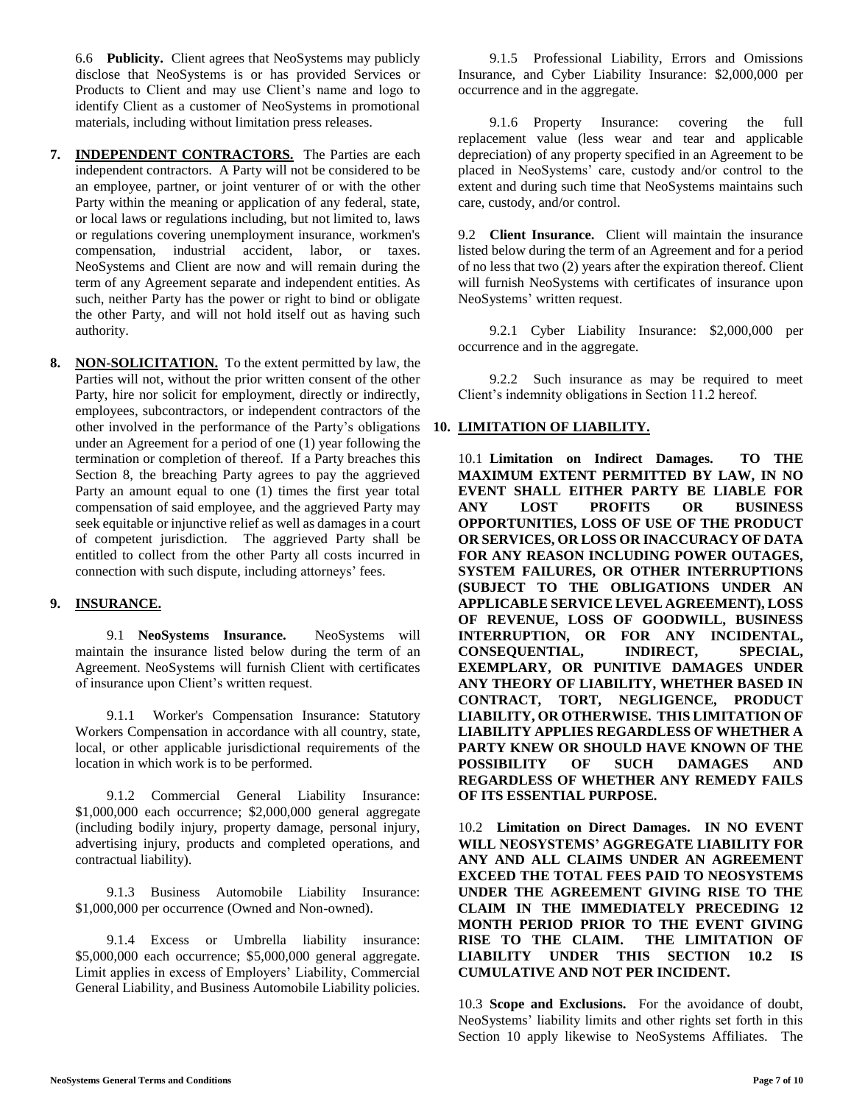6.6 **Publicity.** Client agrees that NeoSystems may publicly disclose that NeoSystems is or has provided Services or Products to Client and may use Client's name and logo to identify Client as a customer of NeoSystems in promotional materials, including without limitation press releases.

- **7. INDEPENDENT CONTRACTORS.** The Parties are each independent contractors. A Party will not be considered to be an employee, partner, or joint venturer of or with the other Party within the meaning or application of any federal, state, or local laws or regulations including, but not limited to, laws or regulations covering unemployment insurance, workmen's compensation, industrial accident, labor, or taxes. NeoSystems and Client are now and will remain during the term of any Agreement separate and independent entities. As such, neither Party has the power or right to bind or obligate the other Party, and will not hold itself out as having such authority.
- **8. NON-SOLICITATION.** To the extent permitted by law, the Parties will not, without the prior written consent of the other Party, hire nor solicit for employment, directly or indirectly, employees, subcontractors, or independent contractors of the other involved in the performance of the Party's obligations under an Agreement for a period of one (1) year following the termination or completion of thereof. If a Party breaches this Section 8, the breaching Party agrees to pay the aggrieved Party an amount equal to one (1) times the first year total compensation of said employee, and the aggrieved Party may seek equitable or injunctive relief as well as damages in a court of competent jurisdiction. The aggrieved Party shall be entitled to collect from the other Party all costs incurred in connection with such dispute, including attorneys' fees.

## **9. INSURANCE.**

9.1 **NeoSystems Insurance.** NeoSystems will maintain the insurance listed below during the term of an Agreement. NeoSystems will furnish Client with certificates of insurance upon Client's written request.

9.1.1 Worker's Compensation Insurance: Statutory Workers Compensation in accordance with all country, state, local, or other applicable jurisdictional requirements of the location in which work is to be performed.

9.1.2 Commercial General Liability Insurance: \$1,000,000 each occurrence; \$2,000,000 general aggregate (including bodily injury, property damage, personal injury, advertising injury, products and completed operations, and contractual liability).

9.1.3 Business Automobile Liability Insurance: \$1,000,000 per occurrence (Owned and Non-owned).

9.1.4 Excess or Umbrella liability insurance: \$5,000,000 each occurrence; \$5,000,000 general aggregate. Limit applies in excess of Employers' Liability, Commercial General Liability, and Business Automobile Liability policies.

9.1.5 Professional Liability, Errors and Omissions Insurance, and Cyber Liability Insurance: \$2,000,000 per occurrence and in the aggregate.

9.1.6 Property Insurance: covering the full replacement value (less wear and tear and applicable depreciation) of any property specified in an Agreement to be placed in NeoSystems' care, custody and/or control to the extent and during such time that NeoSystems maintains such care, custody, and/or control.

9.2 **Client Insurance.** Client will maintain the insurance listed below during the term of an Agreement and for a period of no less that two (2) years after the expiration thereof. Client will furnish NeoSystems with certificates of insurance upon NeoSystems' written request.

9.2.1 Cyber Liability Insurance: \$2,000,000 per occurrence and in the aggregate.

9.2.2 Such insurance as may be required to meet Client's indemnity obligations in Section 11.2 hereof.

## **10. LIMITATION OF LIABILITY.**

10.1 **Limitation on Indirect Damages. TO THE MAXIMUM EXTENT PERMITTED BY LAW, IN NO EVENT SHALL EITHER PARTY BE LIABLE FOR ANY LOST PROFITS OR BUSINESS OPPORTUNITIES, LOSS OF USE OF THE PRODUCT OR SERVICES, OR LOSS OR INACCURACY OF DATA FOR ANY REASON INCLUDING POWER OUTAGES, SYSTEM FAILURES, OR OTHER INTERRUPTIONS (SUBJECT TO THE OBLIGATIONS UNDER AN APPLICABLE SERVICE LEVEL AGREEMENT), LOSS OF REVENUE, LOSS OF GOODWILL, BUSINESS INTERRUPTION, OR FOR ANY INCIDENTAL, CONSEQUENTIAL, INDIRECT, SPECIAL, EXEMPLARY, OR PUNITIVE DAMAGES UNDER ANY THEORY OF LIABILITY, WHETHER BASED IN CONTRACT, TORT, NEGLIGENCE, PRODUCT LIABILITY, OR OTHERWISE. THIS LIMITATION OF LIABILITY APPLIES REGARDLESS OF WHETHER A PARTY KNEW OR SHOULD HAVE KNOWN OF THE POSSIBILITY OF SUCH DAMAGES AND REGARDLESS OF WHETHER ANY REMEDY FAILS OF ITS ESSENTIAL PURPOSE.**

10.2 **Limitation on Direct Damages. IN NO EVENT WILL NEOSYSTEMS' AGGREGATE LIABILITY FOR ANY AND ALL CLAIMS UNDER AN AGREEMENT EXCEED THE TOTAL FEES PAID TO NEOSYSTEMS UNDER THE AGREEMENT GIVING RISE TO THE CLAIM IN THE IMMEDIATELY PRECEDING 12 MONTH PERIOD PRIOR TO THE EVENT GIVING RISE TO THE CLAIM. THE LIMITATION OF LIABILITY UNDER THIS SECTION 10.2 IS CUMULATIVE AND NOT PER INCIDENT.** 

10.3 **Scope and Exclusions.** For the avoidance of doubt, NeoSystems' liability limits and other rights set forth in this Section 10 apply likewise to NeoSystems Affiliates. The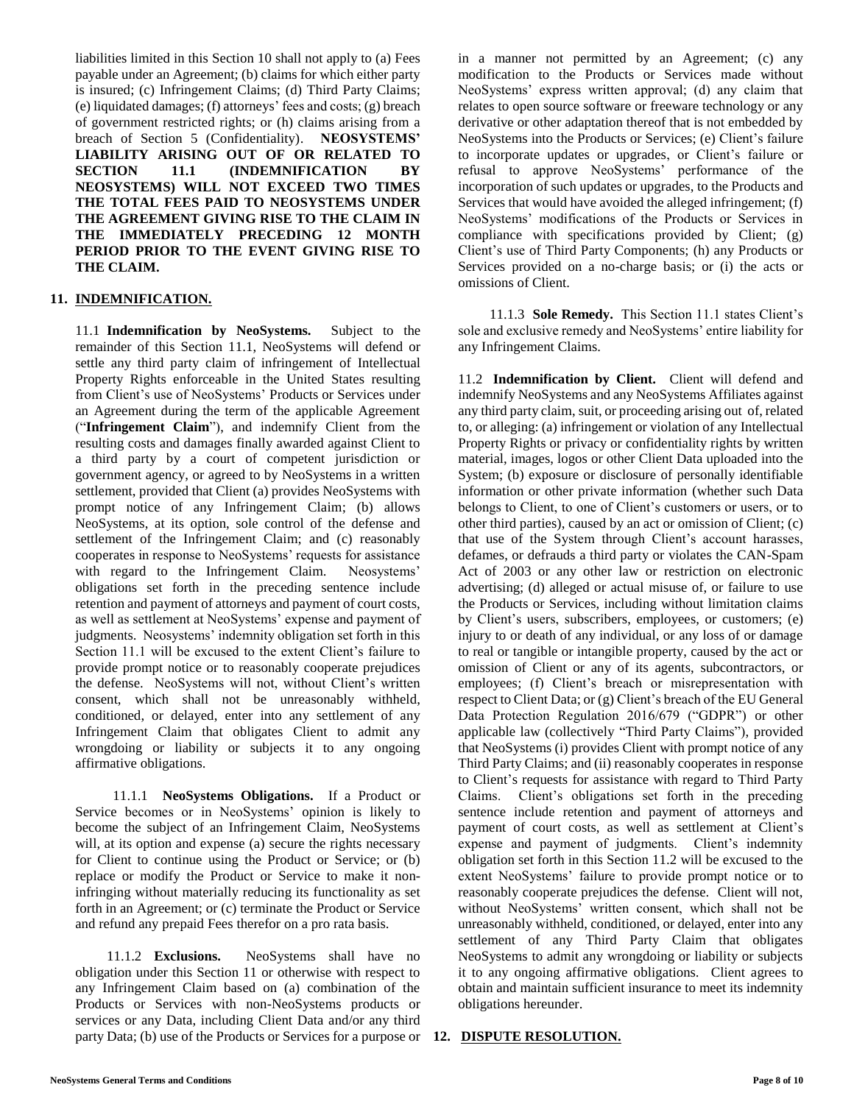liabilities limited in this Section 10 shall not apply to (a) Fees payable under an Agreement; (b) claims for which either party is insured; (c) Infringement Claims; (d) Third Party Claims; (e) liquidated damages; (f) attorneys' fees and costs; (g) breach of government restricted rights; or (h) claims arising from a breach of Section 5 (Confidentiality). **NEOSYSTEMS' LIABILITY ARISING OUT OF OR RELATED TO SECTION 11.1 (INDEMNIFICATION BY NEOSYSTEMS) WILL NOT EXCEED TWO TIMES THE TOTAL FEES PAID TO NEOSYSTEMS UNDER THE AGREEMENT GIVING RISE TO THE CLAIM IN THE IMMEDIATELY PRECEDING 12 MONTH PERIOD PRIOR TO THE EVENT GIVING RISE TO THE CLAIM.**

#### **11. INDEMNIFICATION.**

11.1 **Indemnification by NeoSystems.** Subject to the remainder of this Section 11.1, NeoSystems will defend or settle any third party claim of infringement of Intellectual Property Rights enforceable in the United States resulting from Client's use of NeoSystems' Products or Services under an Agreement during the term of the applicable Agreement ("**Infringement Claim**"), and indemnify Client from the resulting costs and damages finally awarded against Client to a third party by a court of competent jurisdiction or government agency, or agreed to by NeoSystems in a written settlement, provided that Client (a) provides NeoSystems with prompt notice of any Infringement Claim; (b) allows NeoSystems, at its option, sole control of the defense and settlement of the Infringement Claim; and (c) reasonably cooperates in response to NeoSystems' requests for assistance with regard to the Infringement Claim. Neosystems' obligations set forth in the preceding sentence include retention and payment of attorneys and payment of court costs, as well as settlement at NeoSystems' expense and payment of judgments. Neosystems' indemnity obligation set forth in this Section 11.1 will be excused to the extent Client's failure to provide prompt notice or to reasonably cooperate prejudices the defense. NeoSystems will not, without Client's written consent, which shall not be unreasonably withheld, conditioned, or delayed, enter into any settlement of any Infringement Claim that obligates Client to admit any wrongdoing or liability or subjects it to any ongoing affirmative obligations.

11.1.1 **NeoSystems Obligations.** If a Product or Service becomes or in NeoSystems' opinion is likely to become the subject of an Infringement Claim, NeoSystems will, at its option and expense (a) secure the rights necessary for Client to continue using the Product or Service; or (b) replace or modify the Product or Service to make it noninfringing without materially reducing its functionality as set forth in an Agreement; or (c) terminate the Product or Service and refund any prepaid Fees therefor on a pro rata basis.

11.1.2 **Exclusions.** NeoSystems shall have no obligation under this Section 11 or otherwise with respect to any Infringement Claim based on (a) combination of the Products or Services with non-NeoSystems products or services or any Data, including Client Data and/or any third party Data; (b) use of the Products or Services for a purpose or **12. DISPUTE RESOLUTION.**

in a manner not permitted by an Agreement; (c) any modification to the Products or Services made without NeoSystems' express written approval; (d) any claim that relates to open source software or freeware technology or any derivative or other adaptation thereof that is not embedded by NeoSystems into the Products or Services; (e) Client's failure to incorporate updates or upgrades, or Client's failure or refusal to approve NeoSystems' performance of the incorporation of such updates or upgrades, to the Products and Services that would have avoided the alleged infringement; (f) NeoSystems' modifications of the Products or Services in compliance with specifications provided by Client; (g) Client's use of Third Party Components; (h) any Products or Services provided on a no-charge basis; or (i) the acts or omissions of Client.

11.1.3 **Sole Remedy.** This Section 11.1 states Client's sole and exclusive remedy and NeoSystems' entire liability for any Infringement Claims.

11.2 **Indemnification by Client.** Client will defend and indemnify NeoSystems and any NeoSystems Affiliates against any third party claim, suit, or proceeding arising out of, related to, or alleging: (a) infringement or violation of any Intellectual Property Rights or privacy or confidentiality rights by written material, images, logos or other Client Data uploaded into the System; (b) exposure or disclosure of personally identifiable information or other private information (whether such Data belongs to Client, to one of Client's customers or users, or to other third parties), caused by an act or omission of Client; (c) that use of the System through Client's account harasses, defames, or defrauds a third party or violates the CAN-Spam Act of 2003 or any other law or restriction on electronic advertising; (d) alleged or actual misuse of, or failure to use the Products or Services, including without limitation claims by Client's users, subscribers, employees, or customers; (e) injury to or death of any individual, or any loss of or damage to real or tangible or intangible property, caused by the act or omission of Client or any of its agents, subcontractors, or employees; (f) Client's breach or misrepresentation with respect to Client Data; or (g) Client's breach of the EU General Data Protection Regulation 2016/679 ("GDPR") or other applicable law (collectively "Third Party Claims"), provided that NeoSystems (i) provides Client with prompt notice of any Third Party Claims; and (ii) reasonably cooperates in response to Client's requests for assistance with regard to Third Party Claims. Client's obligations set forth in the preceding sentence include retention and payment of attorneys and payment of court costs, as well as settlement at Client's expense and payment of judgments. Client's indemnity obligation set forth in this Section 11.2 will be excused to the extent NeoSystems' failure to provide prompt notice or to reasonably cooperate prejudices the defense. Client will not, without NeoSystems' written consent, which shall not be unreasonably withheld, conditioned, or delayed, enter into any settlement of any Third Party Claim that obligates NeoSystems to admit any wrongdoing or liability or subjects it to any ongoing affirmative obligations. Client agrees to obtain and maintain sufficient insurance to meet its indemnity obligations hereunder.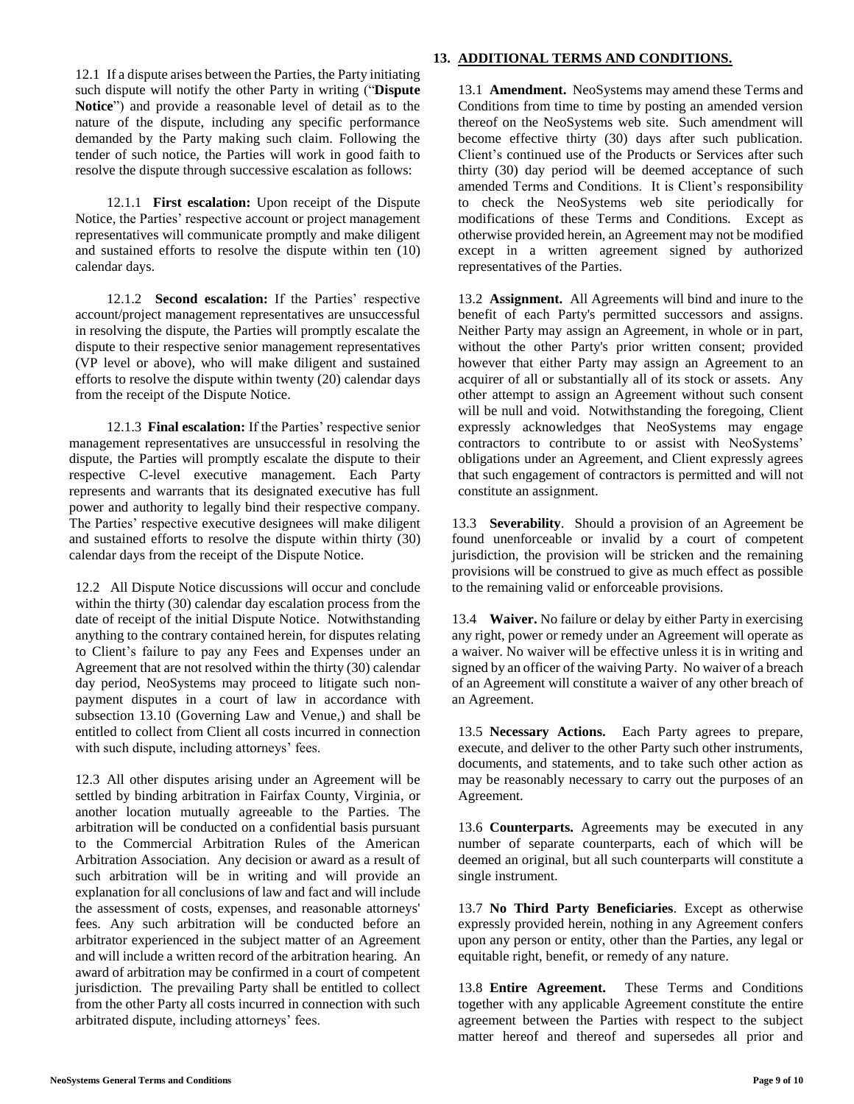12.1 If a dispute arises between the Parties, the Party initiating such dispute will notify the other Party in writing ("**Dispute Notice**") and provide a reasonable level of detail as to the nature of the dispute, including any specific performance demanded by the Party making such claim. Following the tender of such notice, the Parties will work in good faith to resolve the dispute through successive escalation as follows:

12.1.1 **First escalation:** Upon receipt of the Dispute Notice, the Parties' respective account or project management representatives will communicate promptly and make diligent and sustained efforts to resolve the dispute within ten (10) calendar days.

12.1.2 **Second escalation:** If the Parties' respective account/project management representatives are unsuccessful in resolving the dispute, the Parties will promptly escalate the dispute to their respective senior management representatives (VP level or above), who will make diligent and sustained efforts to resolve the dispute within twenty (20) calendar days from the receipt of the Dispute Notice.

12.1.3 **Final escalation:** If the Parties' respective senior management representatives are unsuccessful in resolving the dispute, the Parties will promptly escalate the dispute to their respective C-level executive management. Each Party represents and warrants that its designated executive has full power and authority to legally bind their respective company. The Parties' respective executive designees will make diligent and sustained efforts to resolve the dispute within thirty (30) calendar days from the receipt of the Dispute Notice.

12.2 All Dispute Notice discussions will occur and conclude within the thirty (30) calendar day escalation process from the date of receipt of the initial Dispute Notice. Notwithstanding anything to the contrary contained herein, for disputes relating to Client's failure to pay any Fees and Expenses under an Agreement that are not resolved within the thirty (30) calendar day period, NeoSystems may proceed to litigate such nonpayment disputes in a court of law in accordance with subsection 13.10 (Governing Law and Venue,) and shall be entitled to collect from Client all costs incurred in connection with such dispute, including attorneys' fees.

12.3 All other disputes arising under an Agreement will be settled by binding arbitration in Fairfax County, Virginia, or another location mutually agreeable to the Parties. The arbitration will be conducted on a confidential basis pursuant to the Commercial Arbitration Rules of the American Arbitration Association. Any decision or award as a result of such arbitration will be in writing and will provide an explanation for all conclusions of law and fact and will include the assessment of costs, expenses, and reasonable attorneys' fees. Any such arbitration will be conducted before an arbitrator experienced in the subject matter of an Agreement and will include a written record of the arbitration hearing. An award of arbitration may be confirmed in a court of competent jurisdiction. The prevailing Party shall be entitled to collect from the other Party all costs incurred in connection with such arbitrated dispute, including attorneys' fees.

## **13. ADDITIONAL TERMS AND CONDITIONS.**

13.1 **Amendment.** NeoSystems may amend these Terms and Conditions from time to time by posting an amended version thereof on the NeoSystems web site. Such amendment will become effective thirty (30) days after such publication. Client's continued use of the Products or Services after such thirty (30) day period will be deemed acceptance of such amended Terms and Conditions. It is Client's responsibility to check the NeoSystems web site periodically for modifications of these Terms and Conditions. Except as otherwise provided herein, an Agreement may not be modified except in a written agreement signed by authorized representatives of the Parties.

13.2 **Assignment.** All Agreements will bind and inure to the benefit of each Party's permitted successors and assigns. Neither Party may assign an Agreement, in whole or in part, without the other Party's prior written consent; provided however that either Party may assign an Agreement to an acquirer of all or substantially all of its stock or assets. Any other attempt to assign an Agreement without such consent will be null and void. Notwithstanding the foregoing, Client expressly acknowledges that NeoSystems may engage contractors to contribute to or assist with NeoSystems' obligations under an Agreement, and Client expressly agrees that such engagement of contractors is permitted and will not constitute an assignment.

13.3 **Severability**. Should a provision of an Agreement be found unenforceable or invalid by a court of competent jurisdiction, the provision will be stricken and the remaining provisions will be construed to give as much effect as possible to the remaining valid or enforceable provisions.

13.4 **Waiver.** No failure or delay by either Party in exercising any right, power or remedy under an Agreement will operate as a waiver. No waiver will be effective unless it is in writing and signed by an officer of the waiving Party. No waiver of a breach of an Agreement will constitute a waiver of any other breach of an Agreement.

13.5 **Necessary Actions.** Each Party agrees to prepare, execute, and deliver to the other Party such other instruments, documents, and statements, and to take such other action as may be reasonably necessary to carry out the purposes of an Agreement.

13.6 **Counterparts.** Agreements may be executed in any number of separate counterparts, each of which will be deemed an original, but all such counterparts will constitute a single instrument.

13.7 **No Third Party Beneficiaries**. Except as otherwise expressly provided herein, nothing in any Agreement confers upon any person or entity, other than the Parties, any legal or equitable right, benefit, or remedy of any nature.

13.8 **Entire Agreement.** These Terms and Conditions together with any applicable Agreement constitute the entire agreement between the Parties with respect to the subject matter hereof and thereof and supersedes all prior and